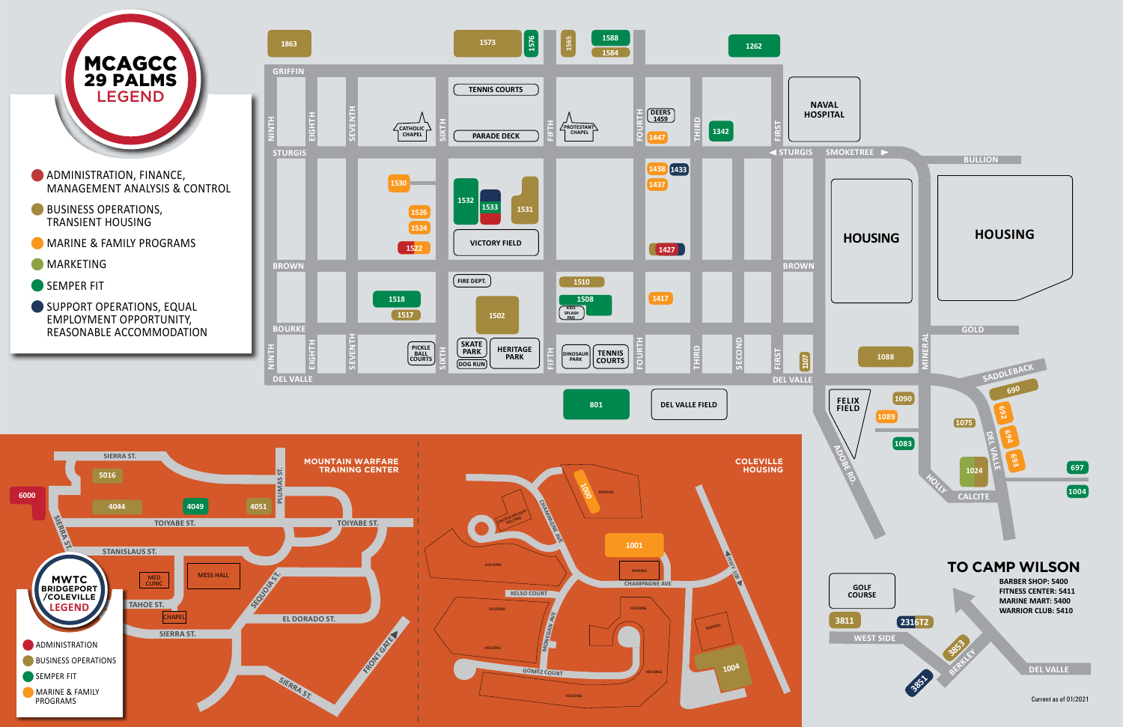





REASONABLE ACCOMMODATION